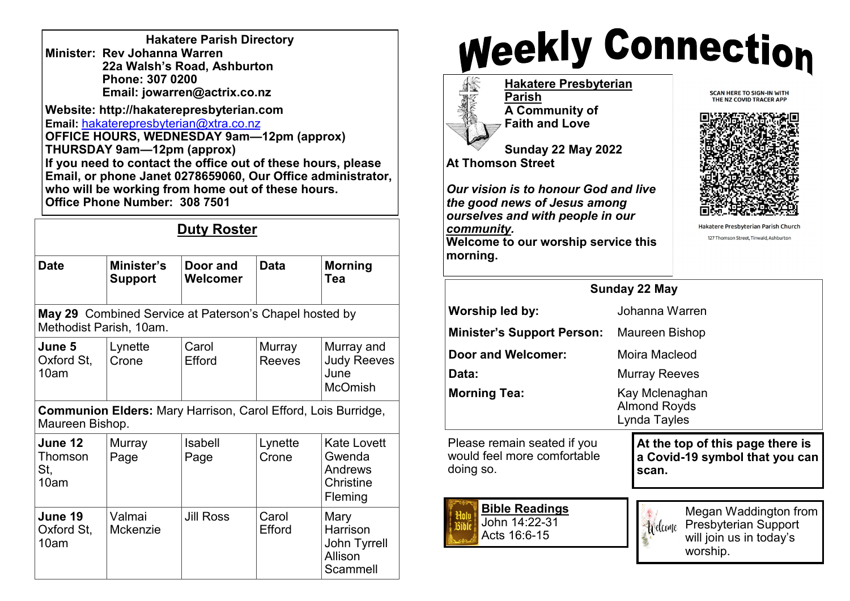**Hakatere Parish Directory Minister: Rev Johanna Warren 22a Walsh's Road, Ashburton Phone: 307 0200 Email: jowarren@actrix.co.nz**

**Website: http://hakaterepresbyterian.com Email:** [hakaterepresbyterian@xtra.co.nz](mailto:hakaterepresbyterian@xtra.co.nz) **OFFICE HOURS, WEDNESDAY 9am—12pm (approx) THURSDAY 9am—12pm (approx) If you need to contact the office out of these hours, please Email, or phone Janet 0278659060, Our Office administrator,**  who will be working from home out of these hours.  $\begin{array}{|c|c|} \hline \end{array}$ **Office Phone Number: 308 7501**

## **Duty Roster**

| <b>Date</b>                               | Minister's<br><b>Support</b> | Door and<br>Welcomer                                   | <b>Data</b>             | <b>Morning</b><br>Tea                                                |
|-------------------------------------------|------------------------------|--------------------------------------------------------|-------------------------|----------------------------------------------------------------------|
|                                           | Methodist Parish, 10am.      | May 29 Combined Service at Paterson's Chapel hosted by |                         |                                                                      |
| June 5<br>Oxford St,<br>10am              | Lynette<br>Crone             | Carol<br>Efford                                        | Murray<br><b>Reeves</b> | Murray and<br><b>Judy Reeves</b><br>June<br><b>McOmish</b>           |
| Maureen Bishop.                           |                              |                                                        |                         | <b>Communion Elders:</b> Mary Harrison, Carol Efford, Lois Burridge, |
| June 12<br>Thomson<br>St,<br>10am         | Murray<br>Page               | Isabell<br>Page                                        | Lynette<br>Crone        | Kate Lovett<br>Gwenda<br>Andrews<br>Christine<br>Fleming             |
| June 19<br>Oxford St,<br>10 <sub>am</sub> | Valmai<br><b>Mckenzie</b>    | <b>Jill Ross</b>                                       | Carol<br>Efford         | Mary<br>Harrison<br>John Tyrrell<br>Allison<br>Scammell              |

## **Weekly Connection**

**Hakatere Presbyterian Parish A Community of Faith and Love**

**Sunday 22 May 2022 At Thomson Street**

*Our vision is to honour God and live the good news of Jesus among ourselves and with people in our community.* 



**SCAN HERE TO SIGN-IN WITH** THE NZ COVID TRACER APP



Hakatere Presbyterian Parish Church 127 Thomson Street Tinwald, Ashburton

| Sunday 22 May                                                           |                                                                                                        |  |  |  |  |
|-------------------------------------------------------------------------|--------------------------------------------------------------------------------------------------------|--|--|--|--|
| Worship led by:                                                         | Johanna Warren                                                                                         |  |  |  |  |
| <b>Minister's Support Person:</b>                                       | Maureen Bishop                                                                                         |  |  |  |  |
| <b>Door and Welcomer:</b>                                               | Moira Macleod                                                                                          |  |  |  |  |
| Data:                                                                   | <b>Murray Reeves</b>                                                                                   |  |  |  |  |
| <b>Morning Tea:</b>                                                     | Kay Mclenaghan<br><b>Almond Royds</b><br>Lynda Tayles                                                  |  |  |  |  |
| Please remain seated if you<br>would feel more comfortable<br>doing so. | At the top of this page there is<br>a Covid-19 symbol that you can<br>scan.                            |  |  |  |  |
|                                                                         |                                                                                                        |  |  |  |  |
| <b>Bible Readings</b><br>John 14:22-31<br>Acts 16:6-15                  | Megan Waddington from<br><b>Presbyterian Support</b><br>helcome<br>will join us in today's<br>worship. |  |  |  |  |